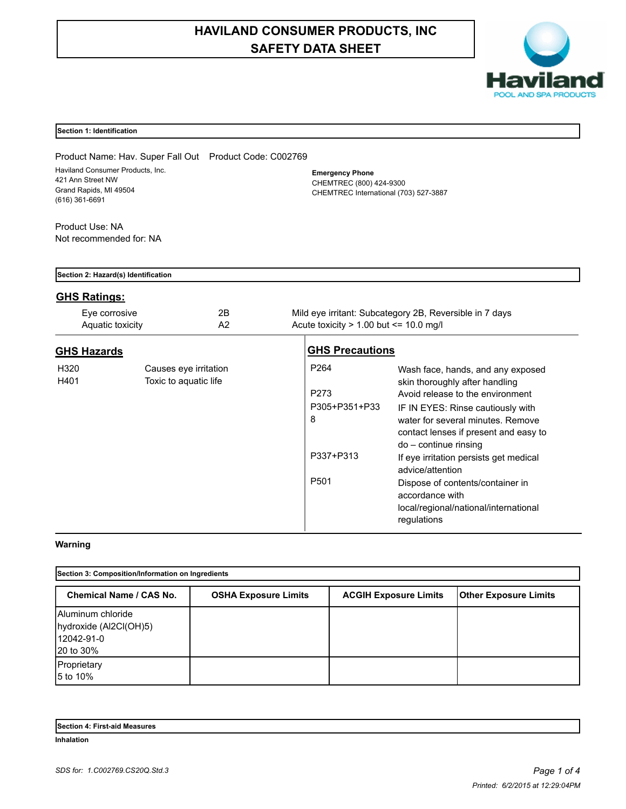# **HAVILAND CONSUMER PRODUCTS, INC SAFETY DATA SHEET**



# **Section 1: Identification**

Product Name: Hav. Super Fall Out Product Code: C002769 Haviland Consumer Products, Inc. 421 Ann Street NW Grand Rapids, MI 49504 (616) 361-6691

**Emergency Phone** CHEMTREC (800) 424-9300 CHEMTREC International (703) 527-3887

Product Use: NA Not recommended for: NA

| Section 2: Hazard(s) Identification |                                                |                                                                                                         |                                                                                                                                                                                                                                                                                                                                                                                                                                    |  |  |
|-------------------------------------|------------------------------------------------|---------------------------------------------------------------------------------------------------------|------------------------------------------------------------------------------------------------------------------------------------------------------------------------------------------------------------------------------------------------------------------------------------------------------------------------------------------------------------------------------------------------------------------------------------|--|--|
| <b>GHS Ratings:</b>                 |                                                |                                                                                                         |                                                                                                                                                                                                                                                                                                                                                                                                                                    |  |  |
| Eye corrosive<br>Aquatic toxicity   | 2B<br>A <sub>2</sub>                           | Mild eye irritant: Subcategory 2B, Reversible in 7 days<br>Acute toxicity $> 1.00$ but $\leq 10.0$ mg/l |                                                                                                                                                                                                                                                                                                                                                                                                                                    |  |  |
| <b>GHS Hazards</b>                  |                                                | <b>GHS Precautions</b>                                                                                  |                                                                                                                                                                                                                                                                                                                                                                                                                                    |  |  |
| H320<br>H401                        | Causes eye irritation<br>Toxic to aquatic life | P <sub>264</sub><br>P273<br>P305+P351+P33<br>8<br>P337+P313<br>P <sub>501</sub>                         | Wash face, hands, and any exposed<br>skin thoroughly after handling<br>Avoid release to the environment<br>IF IN EYES: Rinse cautiously with<br>water for several minutes. Remove<br>contact lenses if present and easy to<br>$do$ – continue rinsing<br>If eye irritation persists get medical<br>advice/attention<br>Dispose of contents/container in<br>accordance with<br>local/regional/national/international<br>regulations |  |  |

# **Warning**

| Section 3: Composition/Information on Ingredients                      |                             |                              |                              |  |
|------------------------------------------------------------------------|-----------------------------|------------------------------|------------------------------|--|
| <b>Chemical Name / CAS No.</b>                                         | <b>OSHA Exposure Limits</b> | <b>ACGIH Exposure Limits</b> | <b>Other Exposure Limits</b> |  |
| Aluminum chloride<br>hydroxide (Al2Cl(OH)5)<br>12042-91-0<br>20 to 30% |                             |                              |                              |  |
| Proprietary<br>5 to 10%                                                |                             |                              |                              |  |

| Section<br>Measures<br>-ırst-aid |  |
|----------------------------------|--|
| <b>Inhalation</b>                |  |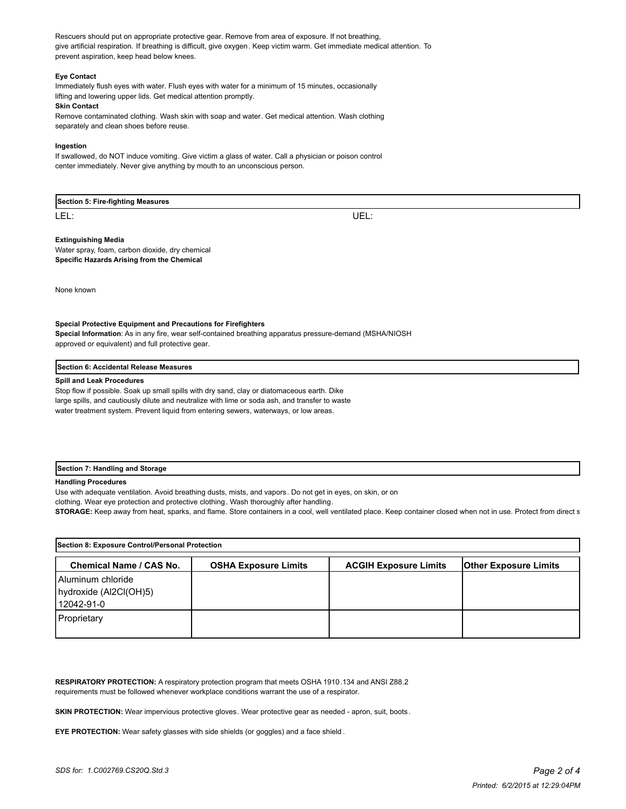Rescuers should put on appropriate protective gear. Remove from area of exposure. If not breathing, give artificial respiration. If breathing is difficult, give oxygen. Keep victim warm. Get immediate medical attention. To prevent aspiration, keep head below knees.

#### **Eye Contact**

Immediately flush eyes with water. Flush eyes with water for a minimum of 15 minutes, occasionally lifting and lowering upper lids. Get medical attention promptly.

#### **Skin Contact**

Remove contaminated clothing. Wash skin with soap and water. Get medical attention. Wash clothing separately and clean shoes before reuse.

#### **Ingestion**

If swallowed, do NOT induce vomiting. Give victim a glass of water. Call a physician or poison control center immediately. Never give anything by mouth to an unconscious person.

# **Section 5: Fire-fighting Measures**

LEL: UEL:

## **Extinguishing Media**

Water spray, foam, carbon dioxide, dry chemical **Specific Hazards Arising from the Chemical**

None known

#### **Special Protective Equipment and Precautions for Firefighters**

**Special Information**: As in any fire, wear self-contained breathing apparatus pressure-demand (MSHA/NIOSH approved or equivalent) and full protective gear.

#### **Section 6: Accidental Release Measures**

#### **Spill and Leak Procedures**

Stop flow if possible. Soak up small spills with dry sand, clay or diatomaceous earth. Dike large spills, and cautiously dilute and neutralize with lime or soda ash, and transfer to waste water treatment system. Prevent liquid from entering sewers, waterways, or low areas.

## **Section 7: Handling and Storage**

## **Handling Procedures**

Use with adequate ventilation. Avoid breathing dusts, mists, and vapors. Do not get in eyes, on skin, or on

clothing. Wear eye protection and protective clothing. Wash thoroughly after handling.

STORAGE: Keep away from heat, sparks, and flame. Store containers in a cool, well ventilated place. Keep container closed when not in use. Protect from direct s

| Section 8: Exposure Control/Personal Protection           |                             |                              |                              |  |  |
|-----------------------------------------------------------|-----------------------------|------------------------------|------------------------------|--|--|
| <b>Chemical Name / CAS No.</b>                            | <b>OSHA Exposure Limits</b> | <b>ACGIH Exposure Limits</b> | <b>Other Exposure Limits</b> |  |  |
| Aluminum chloride<br>hydroxide (Al2Cl(OH)5)<br>12042-91-0 |                             |                              |                              |  |  |
| Proprietary                                               |                             |                              |                              |  |  |

**RESPIRATORY PROTECTION:** A respiratory protection program that meets OSHA 1910.134 and ANSI Z88.2 requirements must be followed whenever workplace conditions warrant the use of a respirator.

**SKIN PROTECTION:** Wear impervious protective gloves. Wear protective gear as needed - apron, suit, boots .

**EYE PROTECTION:** Wear safety glasses with side shields (or goggles) and a face shield .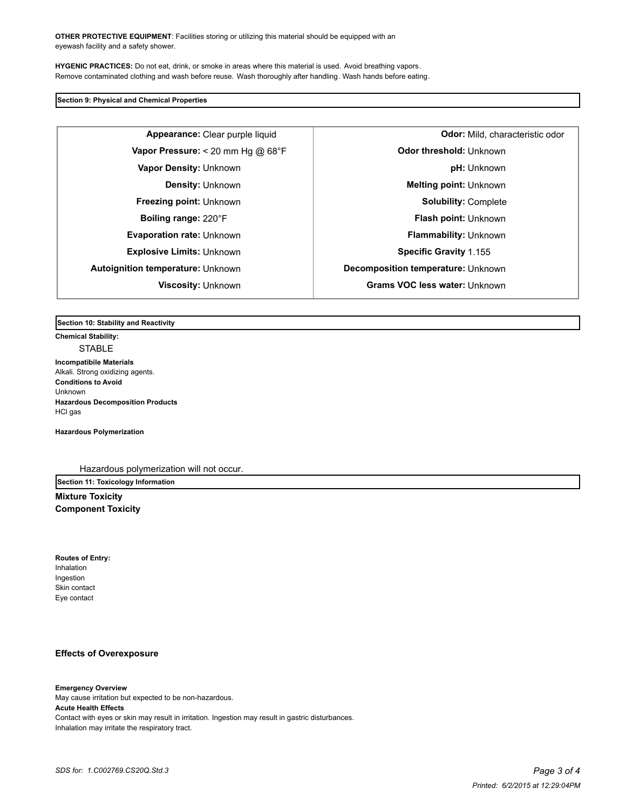**OTHER PROTECTIVE EQUIPMENT**: Facilities storing or utilizing this material should be equipped with an eyewash facility and a safety shower.

**HYGENIC PRACTICES:** Do not eat, drink, or smoke in areas where this material is used. Avoid breathing vapors. Remove contaminated clothing and wash before reuse. Wash thoroughly after handling. Wash hands before eating.

**Section 9: Physical and Chemical Properties**

**Appearance:** Clear purple liquid **Odor:** Mild, characteristic odor **Explosive Limits:** Unknown **Specific Gravity** 1.155

**Vapor Pressure:** < 20 mm Hg @ 68°F **Department of the Odor threshold:** Unknown **Vapor Density:** Unknown **pH:** Unknown **Density:** Unknown **Melting point:** Unknown **Freezing point:** Unknown **Solubility:** Complete **Boiling range:** 220°F **Flash point:** Unknown **Evaporation rate:** Unknown **Flammability:** Unknown **Autoignition temperature:** Unknown **Decomposition temperature:** Unknown **Viscosity:** Unknown **Grams VOC less water:** Unknown

**Section 10: Stability and Reactivity** 

**Chemical Stability: STABLE** 

**Incompatibile Materials**  Alkali. Strong oxidizing agents. **Conditions to Avoid** Unknown **Hazardous Decomposition Products** HCl gas

**Hazardous Polymerization**

Hazardous polymerization will not occur.

**Section 11: Toxicology Information Mixture Toxicity**

**Component Toxicity**

**Routes of Entry:** Inhalation Ingestion Skin contact Eye contact

# **Effects of Overexposure**

**Emergency Overview** May cause irritation but expected to be non-hazardous. **Acute Health Effects** Contact with eyes or skin may result in irritation. Ingestion may result in gastric disturbances. Inhalation may irritate the respiratory tract.